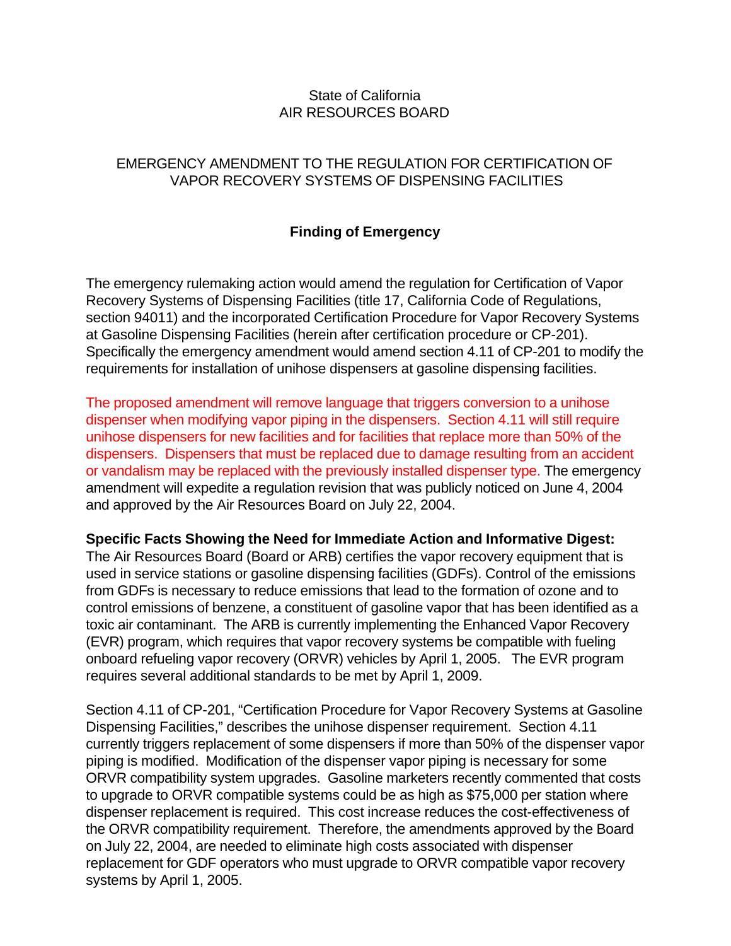## State of California AIR RESOURCES BOARD

## EMERGENCY AMENDMENT TO THE REGULATION FOR CERTIFICATION OF VAPOR RECOVERY SYSTEMS OF DISPENSING FACILITIES

## **Finding of Emergency**

The emergency rulemaking action would amend the regulation for Certification of Vapor Recovery Systems of Dispensing Facilities (title 17, California Code of Regulations, section 94011) and the incorporated Certification Procedure for Vapor Recovery Systems at Gasoline Dispensing Facilities (herein after certification procedure or CP-201). Specifically the emergency amendment would amend section 4.11 of CP-201 to modify the requirements for installation of unihose dispensers at gasoline dispensing facilities.

The proposed amendment will remove language that triggers conversion to a unihose dispenser when modifying vapor piping in the dispensers. Section 4.11 will still require unihose dispensers for new facilities and for facilities that replace more than 50% of the dispensers. Dispensers that must be replaced due to damage resulting from an accident or vandalism may be replaced with the previously installed dispenser type. The emergency amendment will expedite a regulation revision that was publicly noticed on June 4, 2004 and approved by the Air Resources Board on July 22, 2004.

## **Specific Facts Showing the Need for Immediate Action and Informative Digest:**

The Air Resources Board (Board or ARB) certifies the vapor recovery equipment that is used in service stations or gasoline dispensing facilities (GDFs). Control of the emissions from GDFs is necessary to reduce emissions that lead to the formation of ozone and to control emissions of benzene, a constituent of gasoline vapor that has been identified as a toxic air contaminant. The ARB is currently implementing the Enhanced Vapor Recovery (EVR) program, which requires that vapor recovery systems be compatible with fueling onboard refueling vapor recovery (ORVR) vehicles by April 1, 2005. The EVR program requires several additional standards to be met by April 1, 2009.

Section 4.11 of CP-201, "Certification Procedure for Vapor Recovery Systems at Gasoline Dispensing Facilities," describes the unihose dispenser requirement. Section 4.11 currently triggers replacement of some dispensers if more than 50% of the dispenser vapor piping is modified. Modification of the dispenser vapor piping is necessary for some ORVR compatibility system upgrades. Gasoline marketers recently commented that costs to upgrade to ORVR compatible systems could be as high as \$75,000 per station where dispenser replacement is required. This cost increase reduces the cost-effectiveness of the ORVR compatibility requirement. Therefore, the amendments approved by the Board on July 22, 2004, are needed to eliminate high costs associated with dispenser replacement for GDF operators who must upgrade to ORVR compatible vapor recovery systems by April 1, 2005.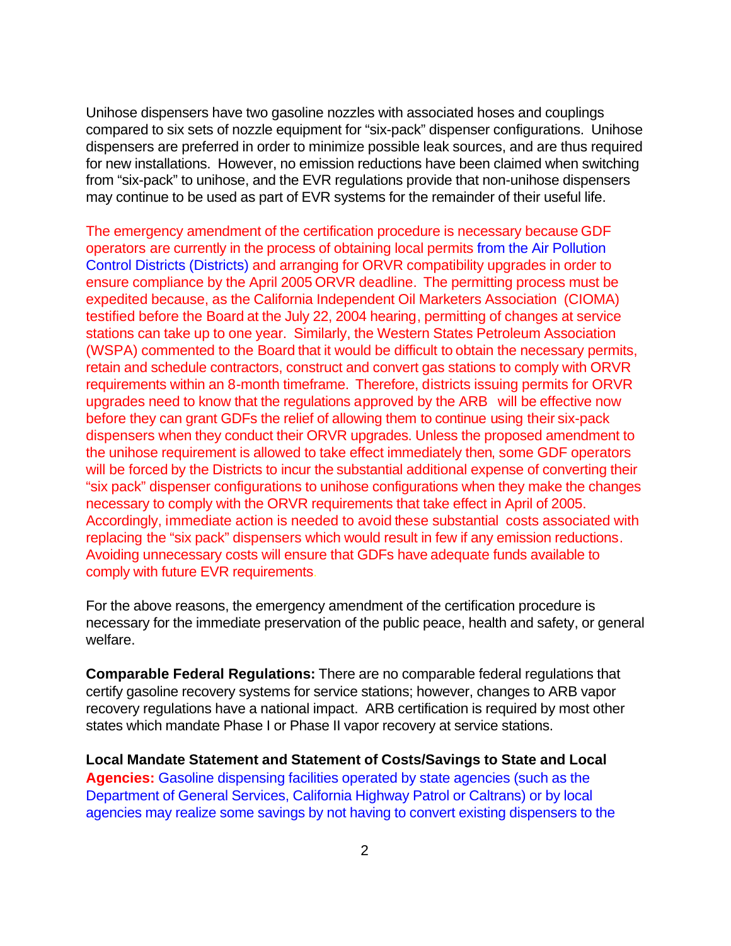Unihose dispensers have two gasoline nozzles with associated hoses and couplings compared to six sets of nozzle equipment for "six-pack" dispenser configurations. Unihose dispensers are preferred in order to minimize possible leak sources, and are thus required for new installations. However, no emission reductions have been claimed when switching from "six-pack" to unihose, and the EVR regulations provide that non-unihose dispensers may continue to be used as part of EVR systems for the remainder of their useful life.

 requirements within an 8-month timeframe. Therefore, districts issuing permits for ORVR upgrades need to know that the regulations approved by the ARB will be effective now The emergency amendment of the certification procedure is necessary because GDF operators are currently in the process of obtaining local permits from the Air Pollution Control Districts (Districts) and arranging for ORVR compatibility upgrades in order to ensure compliance by the April 2005 ORVR deadline. The permitting process must be expedited because, as the California Independent Oil Marketers Association (CIOMA) testified before the Board at the July 22, 2004 hearing, permitting of changes at service stations can take up to one year. Similarly, the Western States Petroleum Association (WSPA) commented to the Board that it would be difficult to obtain the necessary permits, retain and schedule contractors, construct and convert gas stations to comply with ORVR before they can grant GDFs the relief of allowing them to continue using their six-pack dispensers when they conduct their ORVR upgrades. Unless the proposed amendment to the unihose requirement is allowed to take effect immediately then, some GDF operators will be forced by the Districts to incur the substantial additional expense of converting their "six pack" dispenser configurations to unihose configurations when they make the changes necessary to comply with the ORVR requirements that take effect in April of 2005. Accordingly, immediate action is needed to avoid these substantial costs associated with replacing the "six pack" dispensers which would result in few if any emission reductions. Avoiding unnecessary costs will ensure that GDFs have adequate funds available to comply with future EVR requirements.

For the above reasons, the emergency amendment of the certification procedure is necessary for the immediate preservation of the public peace, health and safety, or general welfare.

**Comparable Federal Regulations:** There are no comparable federal regulations that certify gasoline recovery systems for service stations; however, changes to ARB vapor recovery regulations have a national impact. ARB certification is required by most other states which mandate Phase I or Phase II vapor recovery at service stations.

**Local Mandate Statement and Statement of Costs/Savings to State and Local Agencies:** Gasoline dispensing facilities operated by state agencies (such as the Department of General Services, California Highway Patrol or Caltrans) or by local agencies may realize some savings by not having to convert existing dispensers to the